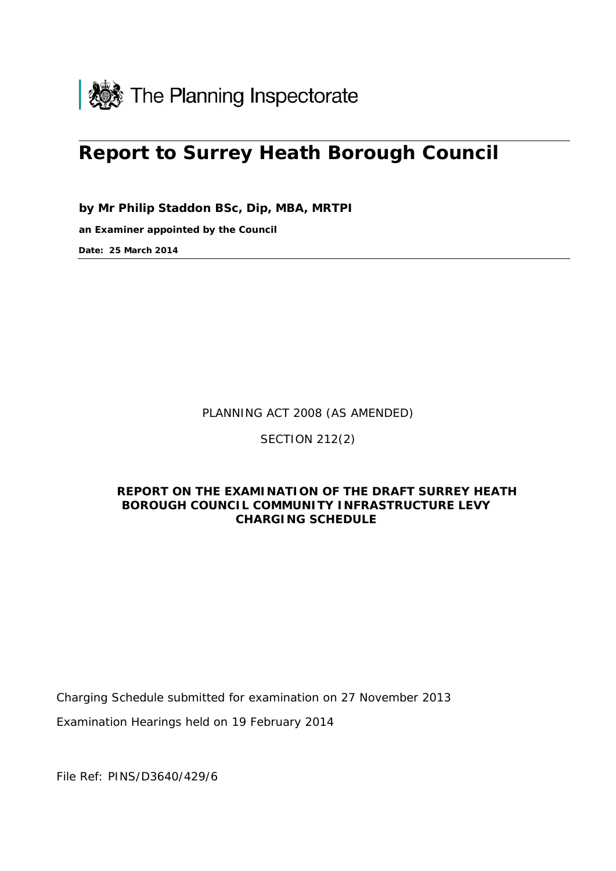

# **Report to Surrey Heath Borough Council**

**by Mr Philip Staddon BSc, Dip, MBA, MRTPI** 

**an Examiner appointed by the Council** 

**Date: 25 March 2014**

PLANNING ACT 2008 (AS AMENDED)

SECTION 212(2)

## **REPORT ON THE EXAMINATION OF THE DRAFT SURREY HEATH BOROUGH COUNCIL COMMUNITY INFRASTRUCTURE LEVY CHARGING SCHEDULE**

Charging Schedule submitted for examination on 27 November 2013

Examination Hearings held on 19 February 2014

File Ref: PINS/D3640/429/6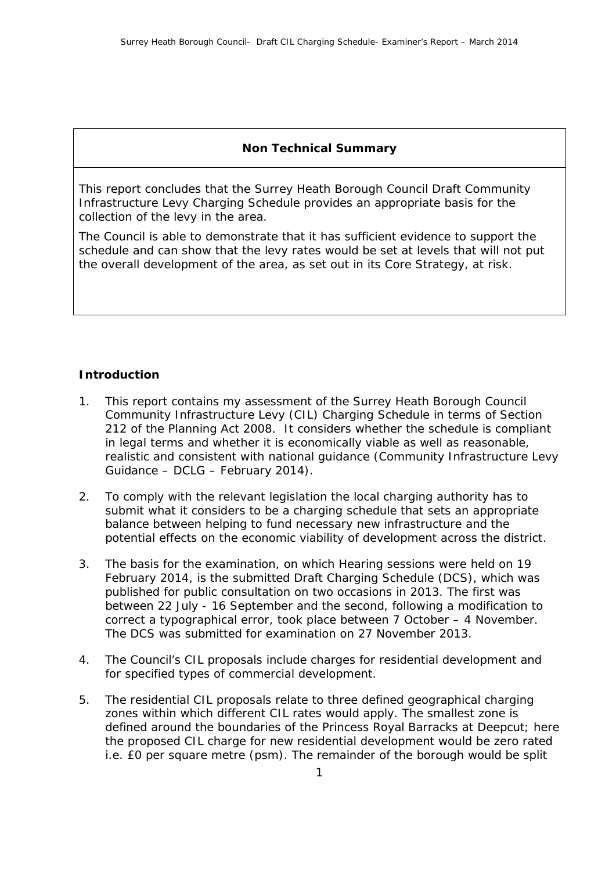## **Non Technical Summary**

This report concludes that the Surrey Heath Borough Council Draft Community Infrastructure Levy Charging Schedule provides an appropriate basis for the collection of the levy in the area.

The Council is able to demonstrate that it has sufficient evidence to support the schedule and can show that the levy rates would be set at levels that will not put the overall development of the area, as set out in its Core Strategy, at risk.

## **Introduction**

- 1. This report contains my assessment of the Surrey Heath Borough Council Community Infrastructure Levy (CIL) Charging Schedule in terms of Section 212 of the Planning Act 2008. It considers whether the schedule is compliant in legal terms and whether it is economically viable as well as reasonable, realistic and consistent with national guidance (Community Infrastructure Levy Guidance – DCLG – February 2014).
- 2. To comply with the relevant legislation the local charging authority has to submit what it considers to be a charging schedule that sets an appropriate balance between helping to fund necessary new infrastructure and the potential effects on the economic viability of development across the district.
- 3. The basis for the examination, on which Hearing sessions were held on 19 February 2014, is the submitted Draft Charging Schedule (DCS), which was published for public consultation on two occasions in 2013. The first was between 22 July - 16 September and the second, following a modification to correct a typographical error, took place between 7 October – 4 November. The DCS was submitted for examination on 27 November 2013.
- 4. The Council's CIL proposals include charges for residential development and for specified types of commercial development.
- 5. The residential CIL proposals relate to three defined geographical charging zones within which different CIL rates would apply. The smallest zone is defined around the boundaries of the Princess Royal Barracks at Deepcut; here the proposed CIL charge for new residential development would be zero rated i.e. £0 per square metre (psm). The remainder of the borough would be split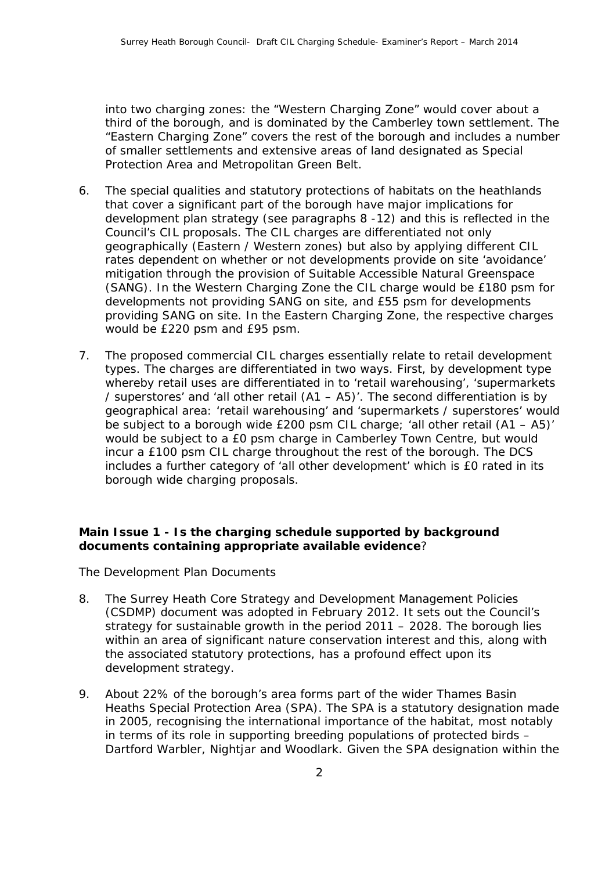into two charging zones: the "Western Charging Zone" would cover about a third of the borough, and is dominated by the Camberley town settlement. The "Eastern Charging Zone" covers the rest of the borough and includes a number of smaller settlements and extensive areas of land designated as Special Protection Area and Metropolitan Green Belt.

- 6. The special qualities and statutory protections of habitats on the heathlands that cover a significant part of the borough have major implications for development plan strategy (see paragraphs 8 -12) and this is reflected in the Council's CIL proposals. The CIL charges are differentiated not only geographically (Eastern / Western zones) but also by applying different CIL rates dependent on whether or not developments provide on site 'avoidance' mitigation through the provision of Suitable Accessible Natural Greenspace (SANG). In the Western Charging Zone the CIL charge would be £180 psm for developments not providing SANG on site, and £55 psm for developments providing SANG on site. In the Eastern Charging Zone, the respective charges would be £220 psm and £95 psm.
- 7. The proposed commercial CIL charges essentially relate to retail development types. The charges are differentiated in two ways. First, by development type whereby retail uses are differentiated in to 'retail warehousing', 'supermarkets / superstores' and 'all other retail (A1 – A5)'. The second differentiation is by geographical area: 'retail warehousing' and 'supermarkets / superstores' would be subject to a borough wide £200 psm CIL charge; 'all other retail (A1 – A5)' would be subject to a £0 psm charge in Camberley Town Centre, but would incur a £100 psm CIL charge throughout the rest of the borough. The DCS includes a further category of 'all other development' which is £0 rated in its borough wide charging proposals.

#### **Main Issue 1 - Is the charging schedule supported by background documents containing appropriate available evidence***?*

#### *The Development Plan Documents*

- 8. The Surrey Heath Core Strategy and Development Management Policies (CSDMP) document was adopted in February 2012. It sets out the Council's strategy for sustainable growth in the period 2011 – 2028. The borough lies within an area of significant nature conservation interest and this, along with the associated statutory protections, has a profound effect upon its development strategy.
- 9. About 22% of the borough's area forms part of the wider Thames Basin Heaths Special Protection Area (SPA). The SPA is a statutory designation made in 2005, recognising the international importance of the habitat, most notably in terms of its role in supporting breeding populations of protected birds – Dartford Warbler, Nightjar and Woodlark. Given the SPA designation within the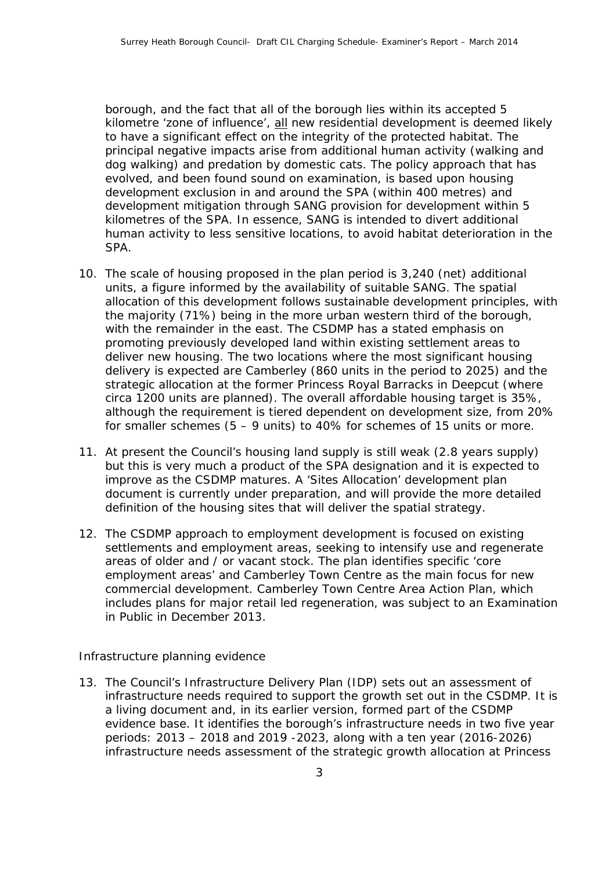borough, and the fact that all of the borough lies within its accepted 5 kilometre 'zone of influence', all new residential development is deemed likely to have a significant effect on the integrity of the protected habitat. The principal negative impacts arise from additional human activity (walking and dog walking) and predation by domestic cats. The policy approach that has evolved, and been found sound on examination, is based upon housing development exclusion in and around the SPA (within 400 metres) and development mitigation through SANG provision for development within 5 kilometres of the SPA. In essence, SANG is intended to divert additional human activity to less sensitive locations, to avoid habitat deterioration in the SPA.

- 10. The scale of housing proposed in the plan period is 3,240 (net) additional units, a figure informed by the availability of suitable SANG. The spatial allocation of this development follows sustainable development principles, with the majority (71%) being in the more urban western third of the borough, with the remainder in the east. The CSDMP has a stated emphasis on promoting previously developed land within existing settlement areas to deliver new housing. The two locations where the most significant housing delivery is expected are Camberley (860 units in the period to 2025) and the strategic allocation at the former Princess Royal Barracks in Deepcut (where circa 1200 units are planned). The overall affordable housing target is 35%, although the requirement is tiered dependent on development size, from 20% for smaller schemes (5 – 9 units) to 40% for schemes of 15 units or more.
- 11. At present the Council's housing land supply is still weak (2.8 years supply) but this is very much a product of the SPA designation and it is expected to improve as the CSDMP matures. A 'Sites Allocation' development plan document is currently under preparation, and will provide the more detailed definition of the housing sites that will deliver the spatial strategy.
- 12. The CSDMP approach to employment development is focused on existing settlements and employment areas, seeking to intensify use and regenerate areas of older and / or vacant stock. The plan identifies specific 'core employment areas' and Camberley Town Centre as the main focus for new commercial development. Camberley Town Centre Area Action Plan, which includes plans for major retail led regeneration, was subject to an Examination in Public in December 2013.

#### *Infrastructure planning evidence*

13. The Council's Infrastructure Delivery Plan (IDP) sets out an assessment of infrastructure needs required to support the growth set out in the CSDMP. It is a living document and, in its earlier version, formed part of the CSDMP evidence base. It identifies the borough's infrastructure needs in two five year periods: 2013 – 2018 and 2019 -2023, along with a ten year (2016-2026) infrastructure needs assessment of the strategic growth allocation at Princess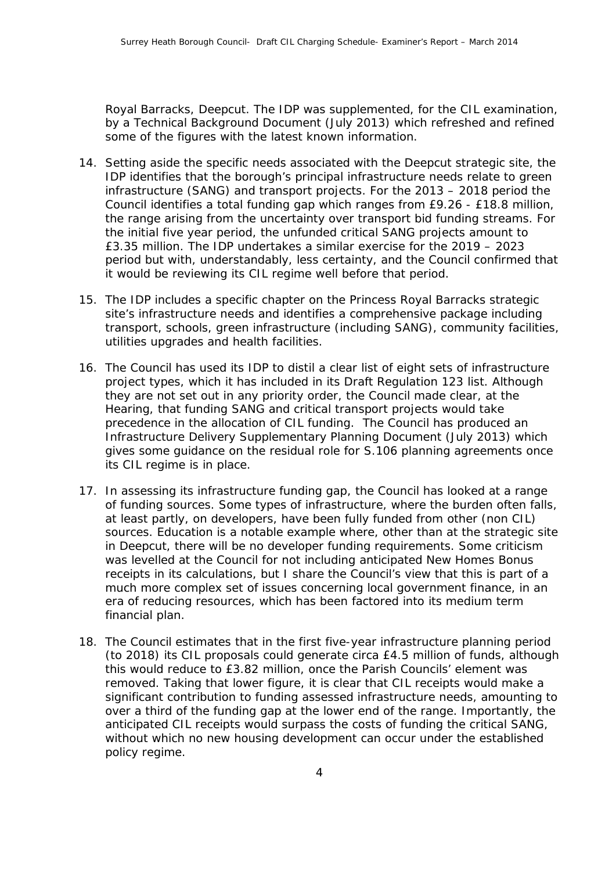Royal Barracks, Deepcut. The IDP was supplemented, for the CIL examination, by a Technical Background Document (July 2013) which refreshed and refined some of the figures with the latest known information.

- 14. Setting aside the specific needs associated with the Deepcut strategic site, the IDP identifies that the borough's principal infrastructure needs relate to green infrastructure (SANG) and transport projects. For the 2013 – 2018 period the Council identifies a total funding gap which ranges from £9.26 - £18.8 million, the range arising from the uncertainty over transport bid funding streams. For the initial five year period, the unfunded critical SANG projects amount to £3.35 million. The IDP undertakes a similar exercise for the 2019 – 2023 period but with, understandably, less certainty, and the Council confirmed that it would be reviewing its CIL regime well before that period.
- 15. The IDP includes a specific chapter on the Princess Royal Barracks strategic site's infrastructure needs and identifies a comprehensive package including transport, schools, green infrastructure (including SANG), community facilities, utilities upgrades and health facilities.
- 16. The Council has used its IDP to distil a clear list of eight sets of infrastructure project types, which it has included in its Draft Regulation 123 list. Although they are not set out in any priority order, the Council made clear, at the Hearing, that funding SANG and critical transport projects would take precedence in the allocation of CIL funding. The Council has produced an Infrastructure Delivery Supplementary Planning Document (July 2013) which gives some guidance on the residual role for S.106 planning agreements once its CIL regime is in place.
- 17. In assessing its infrastructure funding gap, the Council has looked at a range of funding sources. Some types of infrastructure, where the burden often falls, at least partly, on developers, have been fully funded from other (non CIL) sources. Education is a notable example where, other than at the strategic site in Deepcut, there will be no developer funding requirements. Some criticism was levelled at the Council for not including anticipated New Homes Bonus receipts in its calculations, but I share the Council's view that this is part of a much more complex set of issues concerning local government finance, in an era of reducing resources, which has been factored into its medium term financial plan.
- 18. The Council estimates that in the first five-year infrastructure planning period (to 2018) its CIL proposals could generate circa £4.5 million of funds, although this would reduce to £3.82 million, once the Parish Councils' element was removed. Taking that lower figure, it is clear that CIL receipts would make a significant contribution to funding assessed infrastructure needs, amounting to over a third of the funding gap at the lower end of the range. Importantly, the anticipated CIL receipts would surpass the costs of funding the critical SANG, without which no new housing development can occur under the established policy regime.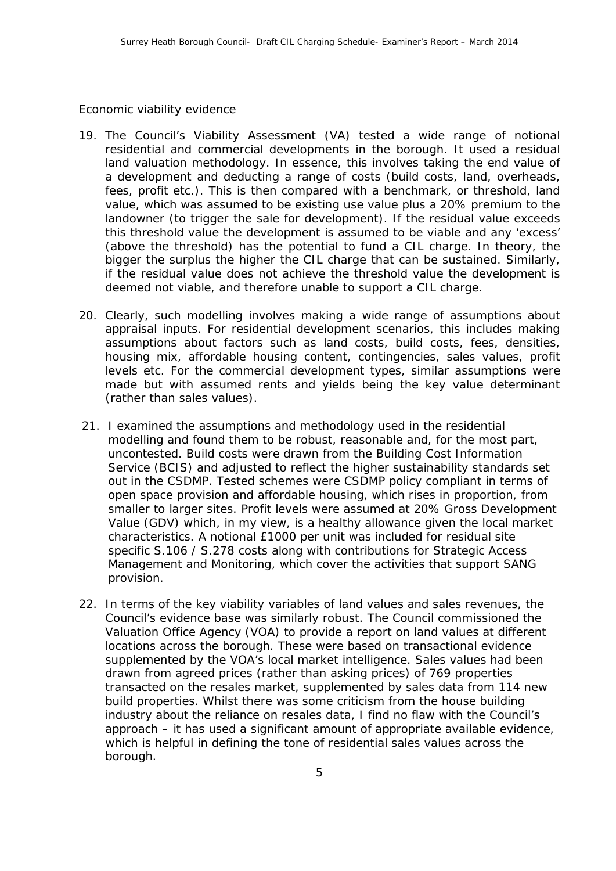#### *Economic viability evidence*

- 19. The Council's Viability Assessment (VA) tested a wide range of notional residential and commercial developments in the borough. It used a residual land valuation methodology. In essence, this involves taking the end value of a development and deducting a range of costs (build costs, land, overheads, fees, profit etc.). This is then compared with a benchmark, or threshold, land value, which was assumed to be existing use value plus a 20% premium to the landowner (to trigger the sale for development). If the residual value exceeds this threshold value the development is assumed to be viable and any 'excess' (above the threshold) has the potential to fund a CIL charge. In theory, the bigger the surplus the higher the CIL charge that can be sustained. Similarly, if the residual value does not achieve the threshold value the development is deemed not viable, and therefore unable to support a CIL charge.
- 20. Clearly, such modelling involves making a wide range of assumptions about appraisal inputs. For residential development scenarios, this includes making assumptions about factors such as land costs, build costs, fees, densities, housing mix, affordable housing content, contingencies, sales values, profit levels etc. For the commercial development types, similar assumptions were made but with assumed rents and yields being the key value determinant (rather than sales values).
- 21. I examined the assumptions and methodology used in the residential modelling and found them to be robust, reasonable and, for the most part, uncontested. Build costs were drawn from the Building Cost Information Service (BCIS) and adjusted to reflect the higher sustainability standards set out in the CSDMP. Tested schemes were CSDMP policy compliant in terms of open space provision and affordable housing, which rises in proportion, from smaller to larger sites. Profit levels were assumed at 20% Gross Development Value (GDV) which, in my view, is a healthy allowance given the local market characteristics. A notional £1000 per unit was included for residual site specific S.106 / S.278 costs along with contributions for Strategic Access Management and Monitoring, which cover the activities that support SANG provision.
- 22. In terms of the key viability variables of land values and sales revenues, the Council's evidence base was similarly robust. The Council commissioned the Valuation Office Agency (VOA) to provide a report on land values at different locations across the borough. These were based on transactional evidence supplemented by the VOA's local market intelligence. Sales values had been drawn from agreed prices (rather than asking prices) of 769 properties transacted on the resales market, supplemented by sales data from 114 new build properties. Whilst there was some criticism from the house building industry about the reliance on resales data, I find no flaw with the Council's approach – it has used a significant amount of appropriate available evidence, which is helpful in defining the tone of residential sales values across the borough.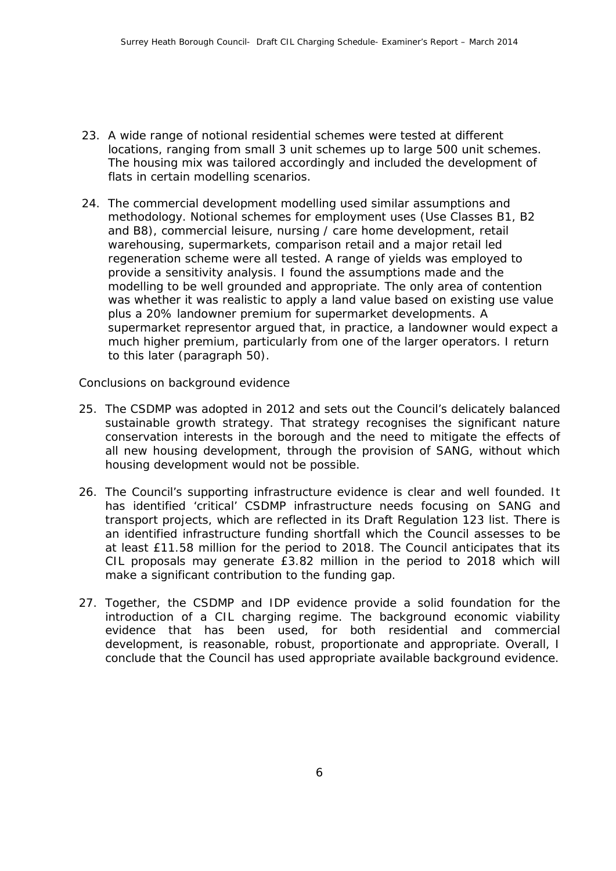- 23. A wide range of notional residential schemes were tested at different locations, ranging from small 3 unit schemes up to large 500 unit schemes. The housing mix was tailored accordingly and included the development of flats in certain modelling scenarios.
- 24. The commercial development modelling used similar assumptions and methodology. Notional schemes for employment uses (Use Classes B1, B2 and B8), commercial leisure, nursing / care home development, retail warehousing, supermarkets, comparison retail and a major retail led regeneration scheme were all tested. A range of yields was employed to provide a sensitivity analysis. I found the assumptions made and the modelling to be well grounded and appropriate. The only area of contention was whether it was realistic to apply a land value based on existing use value plus a 20% landowner premium for supermarket developments. A supermarket representor argued that, in practice, a landowner would expect a much higher premium, particularly from one of the larger operators. I return to this later (paragraph 50).

#### *Conclusions on background evidence*

- 25. The CSDMP was adopted in 2012 and sets out the Council's delicately balanced sustainable growth strategy. That strategy recognises the significant nature conservation interests in the borough and the need to mitigate the effects of all new housing development, through the provision of SANG, without which housing development would not be possible.
- 26. The Council's supporting infrastructure evidence is clear and well founded. It has identified 'critical' CSDMP infrastructure needs focusing on SANG and transport projects, which are reflected in its Draft Regulation 123 list. There is an identified infrastructure funding shortfall which the Council assesses to be at least £11.58 million for the period to 2018. The Council anticipates that its CIL proposals may generate £3.82 million in the period to 2018 which will make a significant contribution to the funding gap.
- 27. Together, the CSDMP and IDP evidence provide a solid foundation for the introduction of a CIL charging regime. The background economic viability evidence that has been used, for both residential and commercial development, is reasonable, robust, proportionate and appropriate. Overall, I conclude that the Council has used appropriate available background evidence.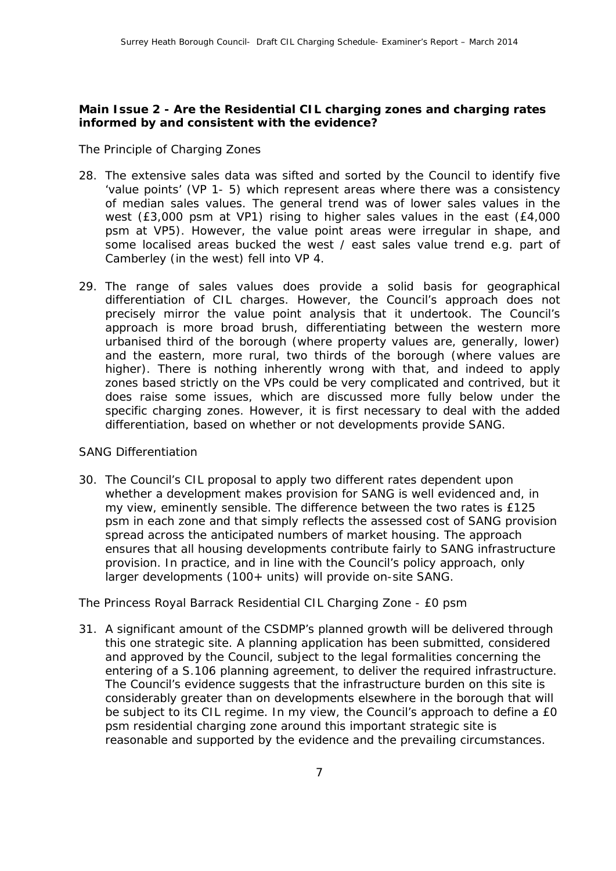## **Main Issue 2 - Are the Residential CIL charging zones and charging rates informed by and consistent with the evidence?**

#### *The Principle of Charging Zones*

- 28. The extensive sales data was sifted and sorted by the Council to identify five 'value points' (VP 1- 5) which represent areas where there was a consistency of median sales values. The general trend was of lower sales values in the west (£3,000 psm at VP1) rising to higher sales values in the east (£4,000 psm at VP5). However, the value point areas were irregular in shape, and some localised areas bucked the west / east sales value trend e.g. part of Camberley (in the west) fell into VP 4.
- 29. The range of sales values does provide a solid basis for geographical differentiation of CIL charges. However, the Council's approach does not precisely mirror the value point analysis that it undertook. The Council's approach is more broad brush, differentiating between the western more urbanised third of the borough (where property values are, generally, lower) and the eastern, more rural, two thirds of the borough (where values are higher). There is nothing inherently wrong with that, and indeed to apply zones based strictly on the VPs could be very complicated and contrived, but it does raise some issues, which are discussed more fully below under the specific charging zones. However, it is first necessary to deal with the added differentiation, based on whether or not developments provide SANG.

#### *SANG Differentiation*

30. The Council's CIL proposal to apply two different rates dependent upon whether a development makes provision for SANG is well evidenced and, in my view, eminently sensible. The difference between the two rates is £125 psm in each zone and that simply reflects the assessed cost of SANG provision spread across the anticipated numbers of market housing. The approach ensures that all housing developments contribute fairly to SANG infrastructure provision. In practice, and in line with the Council's policy approach, only larger developments (100+ units) will provide on-site SANG.

## *The Princess Royal Barrack Residential CIL Charging Zone - £0 psm*

31. A significant amount of the CSDMP's planned growth will be delivered through this one strategic site. A planning application has been submitted, considered and approved by the Council, subject to the legal formalities concerning the entering of a S.106 planning agreement, to deliver the required infrastructure. The Council's evidence suggests that the infrastructure burden on this site is considerably greater than on developments elsewhere in the borough that will be subject to its CIL regime. In my view, the Council's approach to define a £0 psm residential charging zone around this important strategic site is reasonable and supported by the evidence and the prevailing circumstances.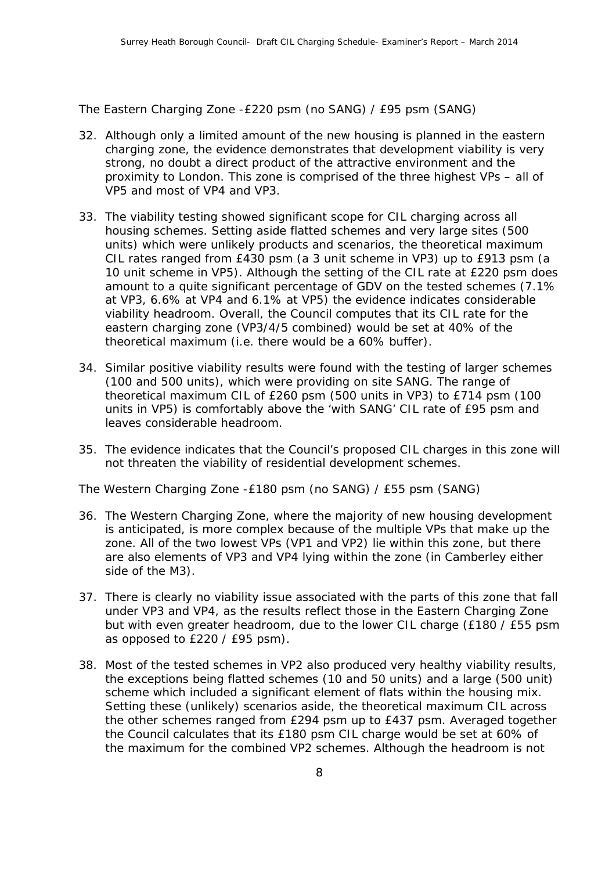*The Eastern Charging Zone -£220 psm (no SANG) / £95 psm (SANG)*

- 32. Although only a limited amount of the new housing is planned in the eastern charging zone, the evidence demonstrates that development viability is very strong, no doubt a direct product of the attractive environment and the proximity to London. This zone is comprised of the three highest VPs – all of VP5 and most of VP4 and VP3.
- 33. The viability testing showed significant scope for CIL charging across all housing schemes. Setting aside flatted schemes and very large sites (500 units) which were unlikely products and scenarios, the theoretical maximum CIL rates ranged from £430 psm (a 3 unit scheme in VP3) up to £913 psm (a 10 unit scheme in VP5). Although the setting of the CIL rate at £220 psm does amount to a quite significant percentage of GDV on the tested schemes (7.1% at VP3, 6.6% at VP4 and 6.1% at VP5) the evidence indicates considerable viability headroom. Overall, the Council computes that its CIL rate for the eastern charging zone (VP3/4/5 combined) would be set at 40% of the theoretical maximum (i.e. there would be a 60% buffer).
- 34. Similar positive viability results were found with the testing of larger schemes (100 and 500 units), which were providing on site SANG. The range of theoretical maximum CIL of £260 psm (500 units in VP3) to £714 psm (100 units in VP5) is comfortably above the 'with SANG' CIL rate of £95 psm and leaves considerable headroom.
- *35.* The evidence indicates that the Council's proposed CIL charges in this zone will not threaten the viability of residential development schemes.

*The Western Charging Zone -£180 psm (no SANG) / £55 psm (SANG)*

- 36. The Western Charging Zone, where the majority of new housing development is anticipated, is more complex because of the multiple VPs that make up the zone. All of the two lowest VPs (VP1 and VP2) lie within this zone, but there are also elements of VP3 and VP4 lying within the zone (in Camberley either side of the M3).
- 37. There is clearly no viability issue associated with the parts of this zone that fall under VP3 and VP4, as the results reflect those in the Eastern Charging Zone but with even greater headroom, due to the lower CIL charge (£180 / £55 psm as opposed to £220 / £95 psm).
- 38. Most of the tested schemes in VP2 also produced very healthy viability results, the exceptions being flatted schemes (10 and 50 units) and a large (500 unit) scheme which included a significant element of flats within the housing mix. Setting these (unlikely) scenarios aside, the theoretical maximum CIL across the other schemes ranged from £294 psm up to £437 psm. Averaged together the Council calculates that its £180 psm CIL charge would be set at 60% of the maximum for the combined VP2 schemes. Although the headroom is not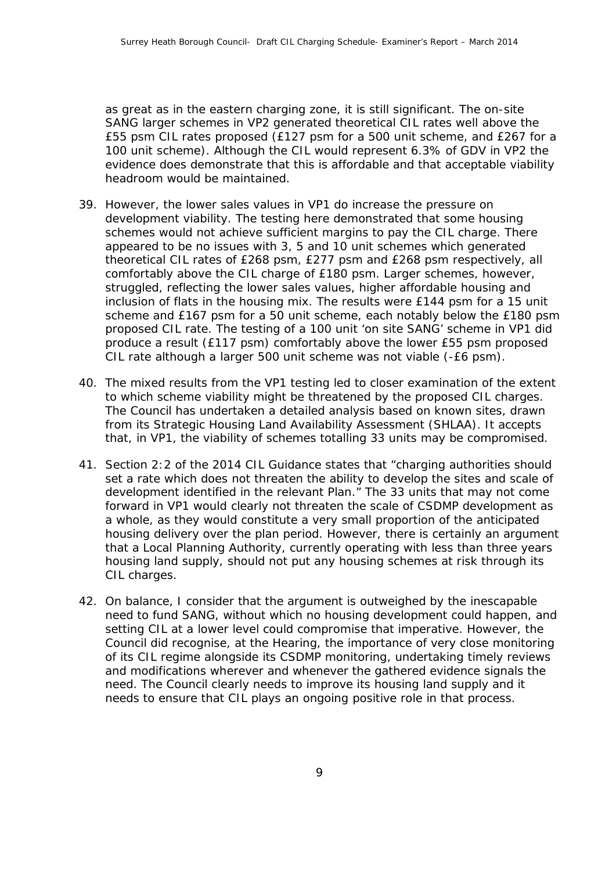as great as in the eastern charging zone, it is still significant. The on-site SANG larger schemes in VP2 generated theoretical CIL rates well above the £55 psm CIL rates proposed (£127 psm for a 500 unit scheme, and £267 for a 100 unit scheme). Although the CIL would represent 6.3% of GDV in VP2 the evidence does demonstrate that this is affordable and that acceptable viability headroom would be maintained.

- 39. However, the lower sales values in VP1 do increase the pressure on development viability. The testing here demonstrated that some housing schemes would not achieve sufficient margins to pay the CIL charge. There appeared to be no issues with 3, 5 and 10 unit schemes which generated theoretical CIL rates of £268 psm, £277 psm and £268 psm respectively, all comfortably above the CIL charge of £180 psm. Larger schemes, however, struggled, reflecting the lower sales values, higher affordable housing and inclusion of flats in the housing mix. The results were £144 psm for a 15 unit scheme and £167 psm for a 50 unit scheme, each notably below the £180 psm proposed CIL rate. The testing of a 100 unit 'on site SANG' scheme in VP1 did produce a result (£117 psm) comfortably above the lower £55 psm proposed CIL rate although a larger 500 unit scheme was not viable (-£6 psm).
- 40. The mixed results from the VP1 testing led to closer examination of the extent to which scheme viability might be threatened by the proposed CIL charges. The Council has undertaken a detailed analysis based on known sites, drawn from its Strategic Housing Land Availability Assessment (SHLAA). It accepts that, in VP1, the viability of schemes totalling 33 units may be compromised.
- 41. Section 2:2 of the 2014 CIL Guidance states that "charging authorities should set a rate which does not threaten the ability to develop the sites and scale of development identified in the relevant Plan." The 33 units that may not come forward in VP1 would clearly not threaten the scale of CSDMP development as a whole, as they would constitute a very small proportion of the anticipated housing delivery over the plan period. However, there is certainly an argument that a Local Planning Authority, currently operating with less than three years housing land supply, should not put any housing schemes at risk through its CIL charges.
- 42. On balance, I consider that the argument is outweighed by the inescapable need to fund SANG, without which no housing development could happen, and setting CIL at a lower level could compromise that imperative. However, the Council did recognise, at the Hearing, the importance of very close monitoring of its CIL regime alongside its CSDMP monitoring, undertaking timely reviews and modifications wherever and whenever the gathered evidence signals the need. The Council clearly needs to improve its housing land supply and it needs to ensure that CIL plays an ongoing positive role in that process.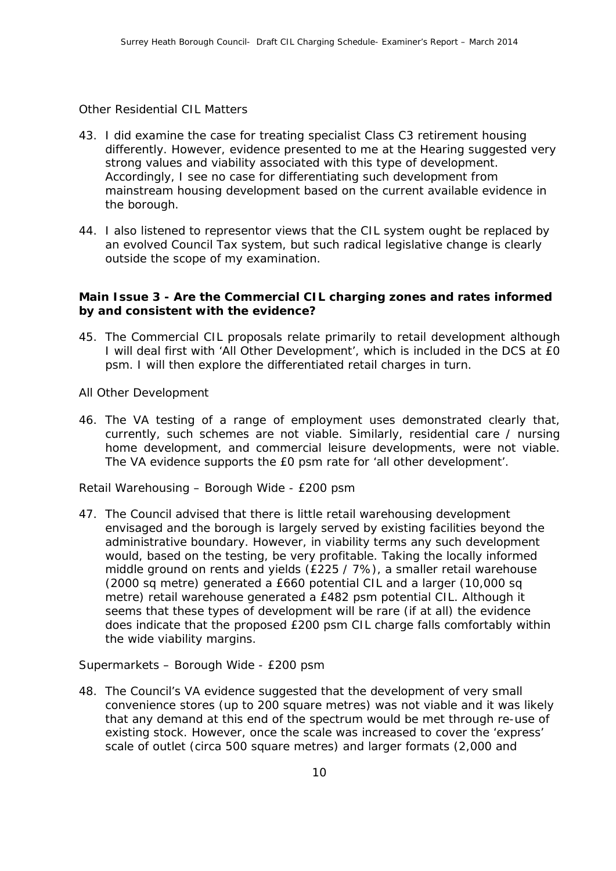#### *Other Residential CIL Matters*

- 43. I did examine the case for treating specialist Class C3 retirement housing differently. However, evidence presented to me at the Hearing suggested very strong values and viability associated with this type of development. Accordingly, I see no case for differentiating such development from mainstream housing development based on the current available evidence in the borough.
- 44. I also listened to representor views that the CIL system ought be replaced by an evolved Council Tax system, but such radical legislative change is clearly outside the scope of my examination.

## **Main Issue 3 - Are the Commercial CIL charging zones and rates informed by and consistent with the evidence?**

45. The Commercial CIL proposals relate primarily to retail development although I will deal first with 'All Other Development', which is included in the DCS at £0 psm. I will then explore the differentiated retail charges in turn.

#### *All Other Development*

46. The VA testing of a range of employment uses demonstrated clearly that, currently, such schemes are not viable. Similarly, residential care / nursing home development, and commercial leisure developments, were not viable. The VA evidence supports the £0 psm rate for 'all other development'.

#### *Retail Warehousing – Borough Wide - £200 psm*

47. The Council advised that there is little retail warehousing development envisaged and the borough is largely served by existing facilities beyond the administrative boundary. However, in viability terms any such development would, based on the testing, be very profitable. Taking the locally informed middle ground on rents and yields (£225 / 7%), a smaller retail warehouse (2000 sq metre) generated a £660 potential CIL and a larger (10,000 sq metre) retail warehouse generated a £482 psm potential CIL. Although it seems that these types of development will be rare (if at all) the evidence does indicate that the proposed £200 psm CIL charge falls comfortably within the wide viability margins.

#### *Supermarkets – Borough Wide - £200 psm*

48. The Council's VA evidence suggested that the development of very small convenience stores (up to 200 square metres) was not viable and it was likely that any demand at this end of the spectrum would be met through re-use of existing stock. However, once the scale was increased to cover the 'express' scale of outlet (circa 500 square metres) and larger formats (2,000 and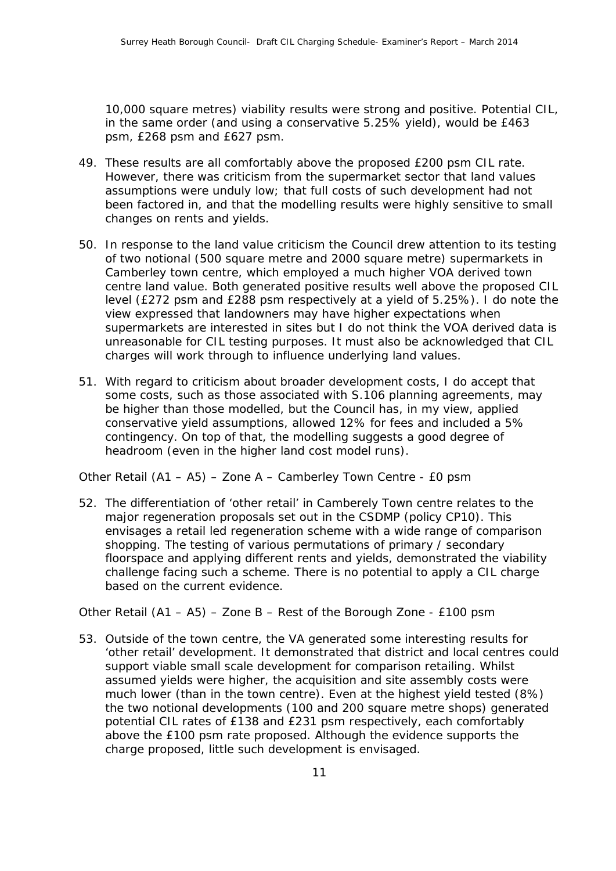10,000 square metres) viability results were strong and positive. Potential CIL, in the same order (and using a conservative 5.25% yield), would be £463 psm, £268 psm and £627 psm.

- 49. These results are all comfortably above the proposed £200 psm CIL rate. However, there was criticism from the supermarket sector that land values assumptions were unduly low; that full costs of such development had not been factored in, and that the modelling results were highly sensitive to small changes on rents and yields.
- 50. In response to the land value criticism the Council drew attention to its testing of two notional (500 square metre and 2000 square metre) supermarkets in Camberley town centre, which employed a much higher VOA derived town centre land value. Both generated positive results well above the proposed CIL level (£272 psm and £288 psm respectively at a yield of 5.25%). I do note the view expressed that landowners may have higher expectations when supermarkets are interested in sites but I do not think the VOA derived data is unreasonable for CIL testing purposes. It must also be acknowledged that CIL charges will work through to influence underlying land values.
- 51. With regard to criticism about broader development costs, I do accept that some costs, such as those associated with S.106 planning agreements, may be higher than those modelled, but the Council has, in my view, applied conservative yield assumptions, allowed 12% for fees and included a 5% contingency. On top of that, the modelling suggests a good degree of headroom (even in the higher land cost model runs).

*Other Retail (A1 – A5) – Zone A – Camberley Town Centre - £0 psm*

52. The differentiation of 'other retail' in Camberely Town centre relates to the major regeneration proposals set out in the CSDMP (policy CP10). This envisages a retail led regeneration scheme with a wide range of comparison shopping. The testing of various permutations of primary / secondary floorspace and applying different rents and yields, demonstrated the viability challenge facing such a scheme. There is no potential to apply a CIL charge based on the current evidence.

#### *Other Retail (A1 – A5) – Zone B – Rest of the Borough Zone - £100 psm*

53. Outside of the town centre, the VA generated some interesting results for 'other retail' development. It demonstrated that district and local centres could support viable small scale development for comparison retailing. Whilst assumed yields were higher, the acquisition and site assembly costs were much lower (than in the town centre). Even at the highest yield tested (8%) the two notional developments (100 and 200 square metre shops) generated potential CIL rates of £138 and £231 psm respectively, each comfortably above the £100 psm rate proposed. Although the evidence supports the charge proposed, little such development is envisaged.